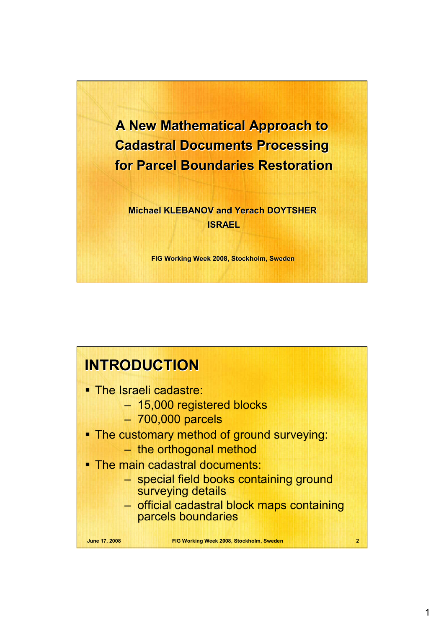

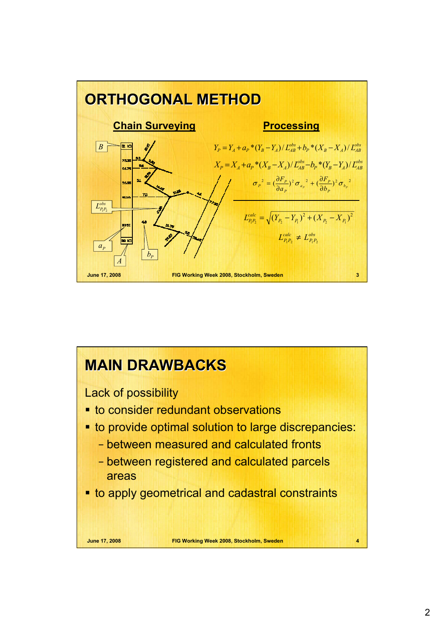

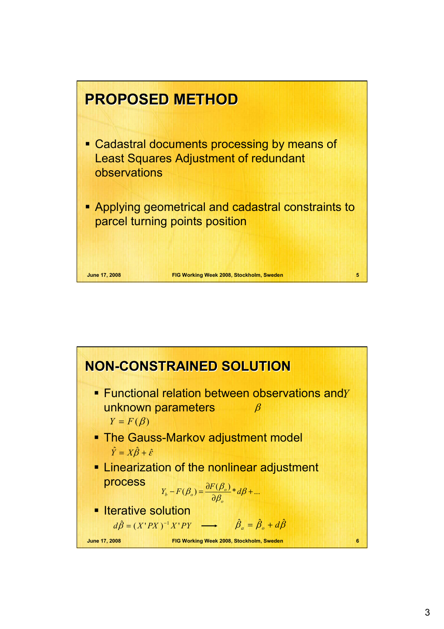

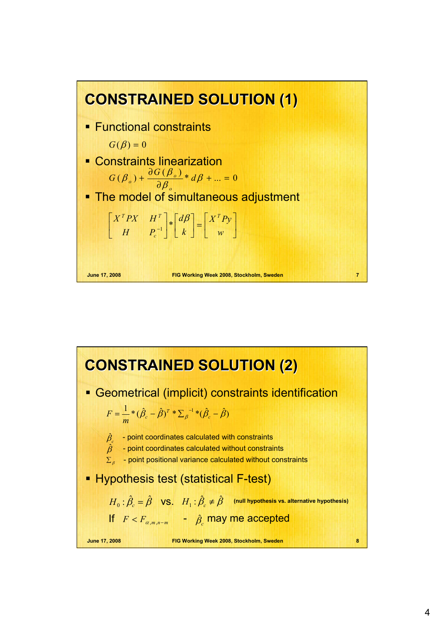

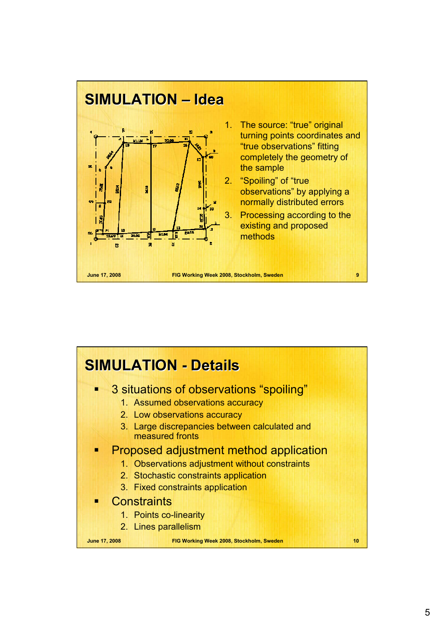

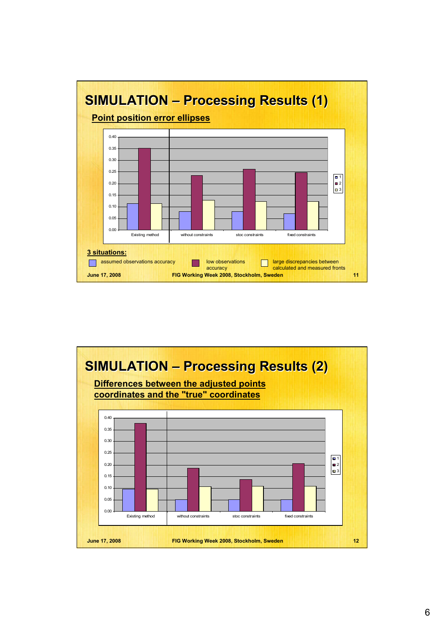

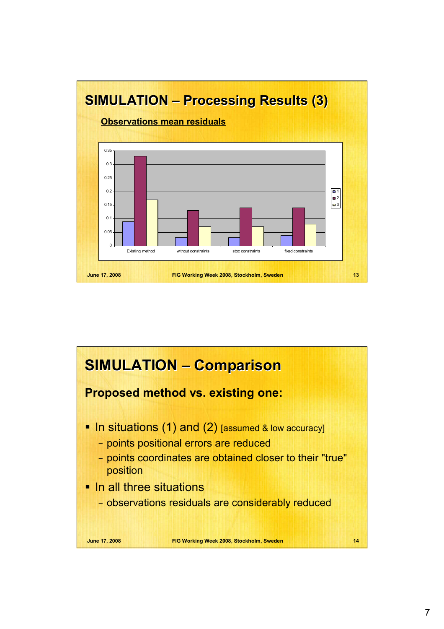

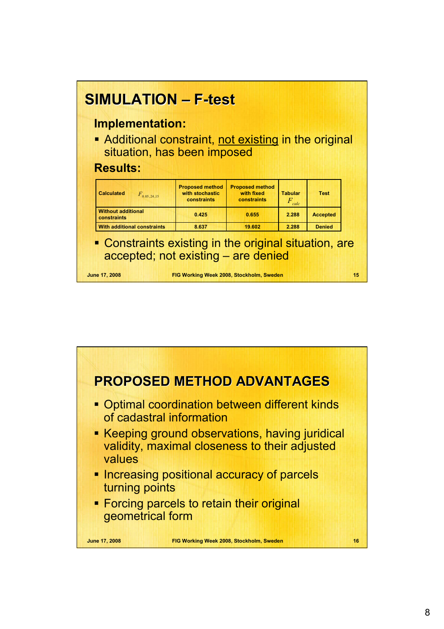

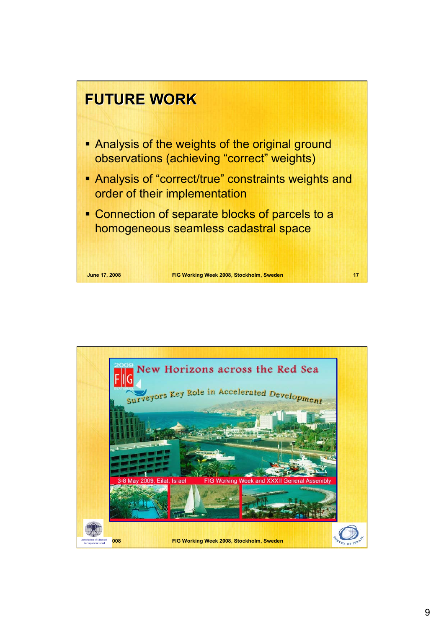